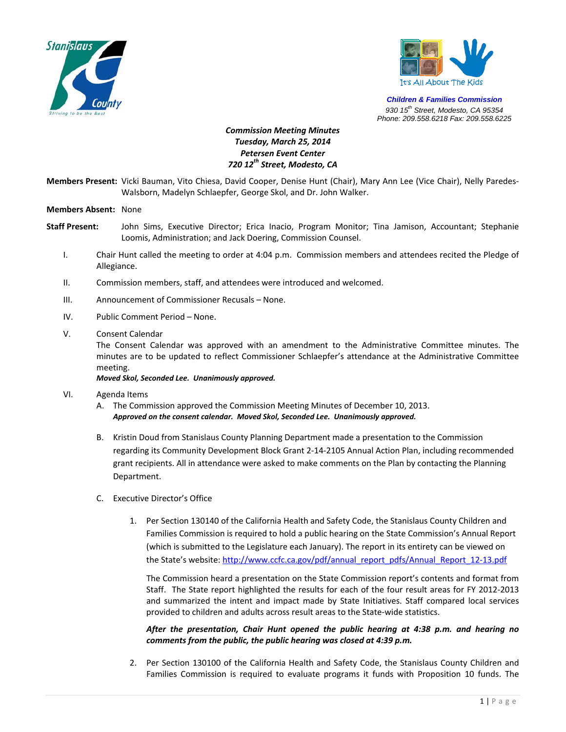



*Children & Families Commission 930 15th Street, Modesto, CA 95354 Phone: 209.558.6218 Fax: 209.558.6225*

## *Commission Meeting Minutes Tuesday, March 25, 2014 Petersen Event Center 720 12th Street, Modesto, CA*

**Members Present:** Vicki Bauman, Vito Chiesa, David Cooper, Denise Hunt (Chair), Mary Ann Lee (Vice Chair), Nelly Paredes‐ Walsborn, Madelyn Schlaepfer, George Skol, and Dr. John Walker.

## **Members Absent:** None

- **Staff Present:** John Sims, Executive Director; Erica Inacio, Program Monitor; Tina Jamison, Accountant; Stephanie Loomis, Administration; and Jack Doering, Commission Counsel.
	- I. Chair Hunt called the meeting to order at 4:04 p.m. Commission members and attendees recited the Pledge of Allegiance.
	- II. Commission members, staff, and attendees were introduced and welcomed.
	- III. Announcement of Commissioner Recusals None.
	- IV. Public Comment Period None.
	- V. Consent Calendar

The Consent Calendar was approved with an amendment to the Administrative Committee minutes. The minutes are to be updated to reflect Commissioner Schlaepfer's attendance at the Administrative Committee meeting.

## *Moved Skol, Seconded Lee. Unanimously approved.*

- VI. Agenda Items
	- A. The Commission approved the Commission Meeting Minutes of December 10, 2013. *Approved on the consent calendar. Moved Skol, Seconded Lee. Unanimously approved.*
	- B. Kristin Doud from Stanislaus County Planning Department made a presentation to the Commission regarding its Community Development Block Grant 2‐14‐2105 Annual Action Plan, including recommended grant recipients. All in attendance were asked to make comments on the Plan by contacting the Planning Department.
	- C. Executive Director's Office
		- 1. Per Section 130140 of the California Health and Safety Code, the Stanislaus County Children and Families Commission is required to hold a public hearing on the State Commission's Annual Report (which is submitted to the Legislature each January). The report in its entirety can be viewed on the State's website: http://www.ccfc.ca.gov/pdf/annual\_report\_pdfs/Annual\_Report\_12-13.pdf

The Commission heard a presentation on the State Commission report's contents and format from Staff. The State report highlighted the results for each of the four result areas for FY 2012‐2013 and summarized the intent and impact made by State Initiatives. Staff compared local services provided to children and adults across result areas to the State‐wide statistics.

*After the presentation, Chair Hunt opened the public hearing at 4:38 p.m. and hearing no comments from the public, the public hearing was closed at 4:39 p.m.*

2. Per Section 130100 of the California Health and Safety Code, the Stanislaus County Children and Families Commission is required to evaluate programs it funds with Proposition 10 funds. The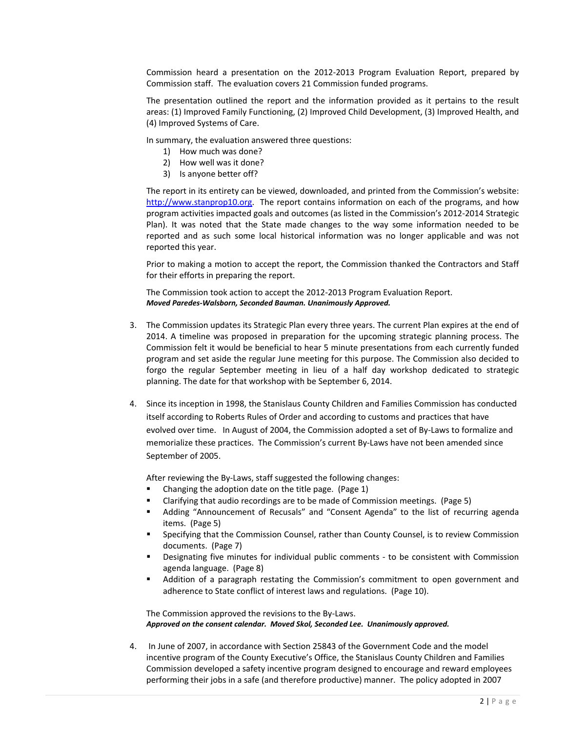Commission heard a presentation on the 2012‐2013 Program Evaluation Report, prepared by Commission staff. The evaluation covers 21 Commission funded programs.

The presentation outlined the report and the information provided as it pertains to the result areas: (1) Improved Family Functioning, (2) Improved Child Development, (3) Improved Health, and (4) Improved Systems of Care.

In summary, the evaluation answered three questions:

- 1) How much was done?
- 2) How well was it done?
- 3) Is anyone better off?

The report in its entirety can be viewed, downloaded, and printed from the Commission's website: http://www.stanprop10.org. The report contains information on each of the programs, and how program activities impacted goals and outcomes (as listed in the Commission's 2012‐2014 Strategic Plan). It was noted that the State made changes to the way some information needed to be reported and as such some local historical information was no longer applicable and was not reported this year.

Prior to making a motion to accept the report, the Commission thanked the Contractors and Staff for their efforts in preparing the report.

The Commission took action to accept the 2012‐2013 Program Evaluation Report. *Moved Paredes‐Walsborn, Seconded Bauman. Unanimously Approved.* 

- 3. The Commission updates its Strategic Plan every three years. The current Plan expires at the end of 2014. A timeline was proposed in preparation for the upcoming strategic planning process. The Commission felt it would be beneficial to hear 5 minute presentations from each currently funded program and set aside the regular June meeting for this purpose. The Commission also decided to forgo the regular September meeting in lieu of a half day workshop dedicated to strategic planning. The date for that workshop with be September 6, 2014.
- 4. Since its inception in 1998, the Stanislaus County Children and Families Commission has conducted itself according to Roberts Rules of Order and according to customs and practices that have evolved over time. In August of 2004, the Commission adopted a set of By‐Laws to formalize and memorialize these practices. The Commission's current By‐Laws have not been amended since September of 2005.

After reviewing the By‐Laws, staff suggested the following changes:

- Changing the adoption date on the title page. (Page 1)
- Clarifying that audio recordings are to be made of Commission meetings. (Page 5)
- Adding "Announcement of Recusals" and "Consent Agenda" to the list of recurring agenda items. (Page 5)
- Specifying that the Commission Counsel, rather than County Counsel, is to review Commission documents. (Page 7)
- **■** Designating five minutes for individual public comments to be consistent with Commission agenda language. (Page 8)
- Addition of a paragraph restating the Commission's commitment to open government and adherence to State conflict of interest laws and regulations. (Page 10).

The Commission approved the revisions to the By‐Laws. *Approved on the consent calendar. Moved Skol, Seconded Lee. Unanimously approved.*

4. In June of 2007, in accordance with Section 25843 of the Government Code and the model incentive program of the County Executive's Office, the Stanislaus County Children and Families Commission developed a safety incentive program designed to encourage and reward employees performing their jobs in a safe (and therefore productive) manner. The policy adopted in 2007